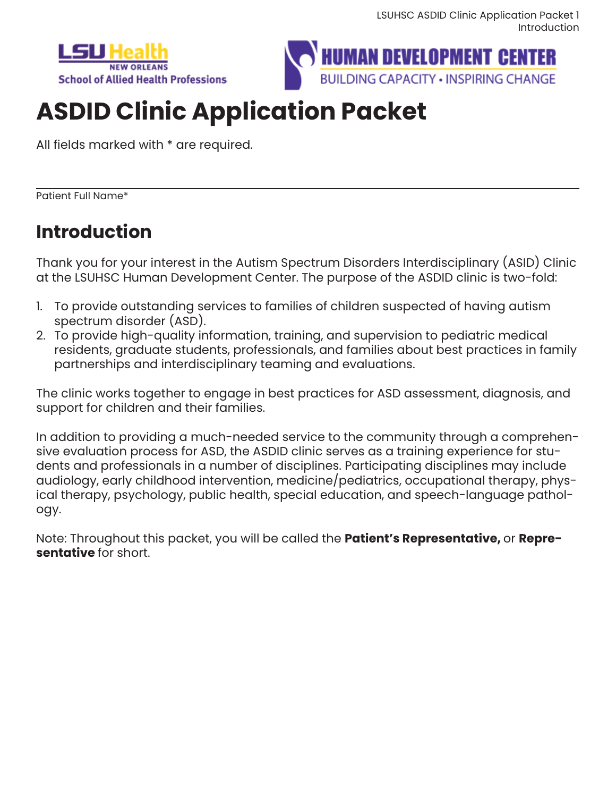



# **ASDID Clinic Application Packet**

All fields marked with \* are required.

Patient Full Name\*

## **Introduction**

Thank you for your interest in the Autism Spectrum Disorders Interdisciplinary (ASID) Clinic at the LSUHSC Human Development Center. The purpose of the ASDID clinic is two-fold:

- 1. To provide outstanding services to families of children suspected of having autism spectrum disorder (ASD).
- 2. To provide high-quality information, training, and supervision to pediatric medical residents, graduate students, professionals, and families about best practices in family partnerships and interdisciplinary teaming and evaluations.

The clinic works together to engage in best practices for ASD assessment, diagnosis, and support for children and their families.

In addition to providing a much-needed service to the community through a comprehensive evaluation process for ASD, the ASDID clinic serves as a training experience for students and professionals in a number of disciplines. Participating disciplines may include audiology, early childhood intervention, medicine/pediatrics, occupational therapy, physical therapy, psychology, public health, special education, and speech-language pathology.

Note: Throughout this packet, you will be called the **Patient's Representative,** or **Representative** for short.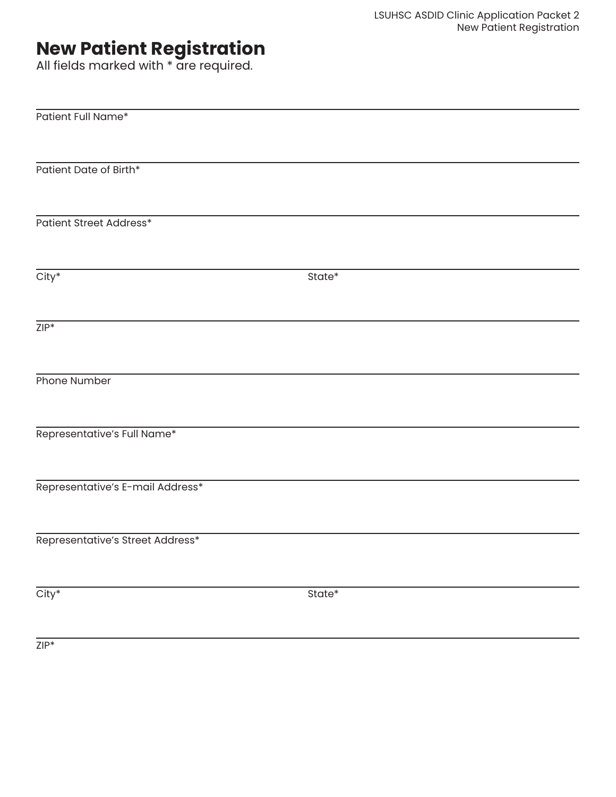## **New Patient Registration**

All fields marked with \* are required.

| Patient Full Name*               |        |
|----------------------------------|--------|
|                                  |        |
|                                  |        |
|                                  |        |
| Patient Date of Birth*           |        |
|                                  |        |
|                                  |        |
| Patient Street Address*          |        |
|                                  |        |
|                                  |        |
|                                  |        |
| $City^*$                         | State* |
|                                  |        |
|                                  |        |
|                                  |        |
| $ZIP*$                           |        |
|                                  |        |
|                                  |        |
| Phone Number                     |        |
|                                  |        |
|                                  |        |
|                                  |        |
| Representative's Full Name*      |        |
|                                  |        |
|                                  |        |
|                                  |        |
| Representative's E-mail Address* |        |
|                                  |        |
|                                  |        |
| Representative's Street Address* |        |
|                                  |        |
|                                  |        |
|                                  |        |
| $City^*$                         | State* |
|                                  |        |
|                                  |        |

ZIP\*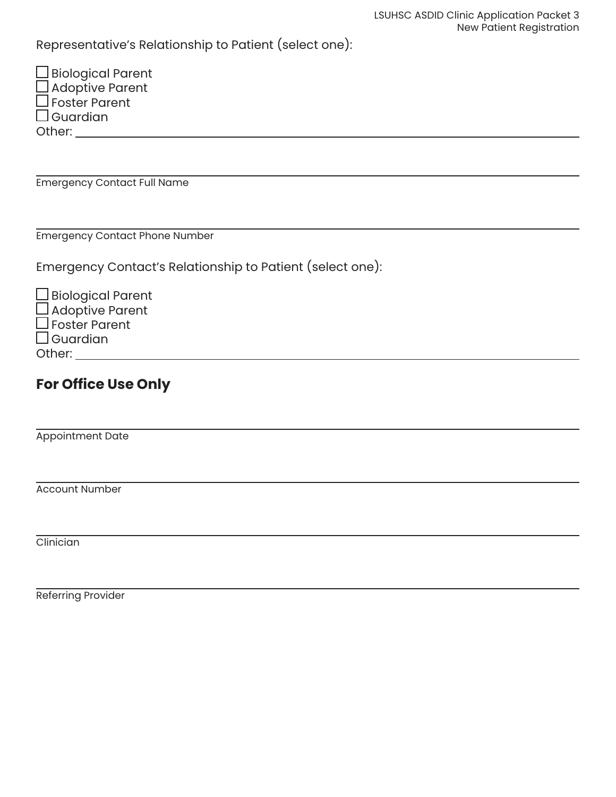Representative's Relationship to Patient (select one):

| $\Box$ Biological Parent |
|--------------------------|
| $\Box$ Adoptive Parent   |
| $\square$ Foster Parent  |
| $\square$ Guardian       |
| Other:                   |

Emergency Contact Full Name

Emergency Contact Phone Number

Emergency Contact's Relationship to Patient (select one):

| $\Box$ Biological Parent |
|--------------------------|
| $\Box$ Adoptive Parent   |
| $\Box$ Foster Parent     |
| $\Box$ Guardian          |
| Other:                   |

### **For Office Use Only**

Appointment Date

Account Number

**Clinician** 

Referring Provider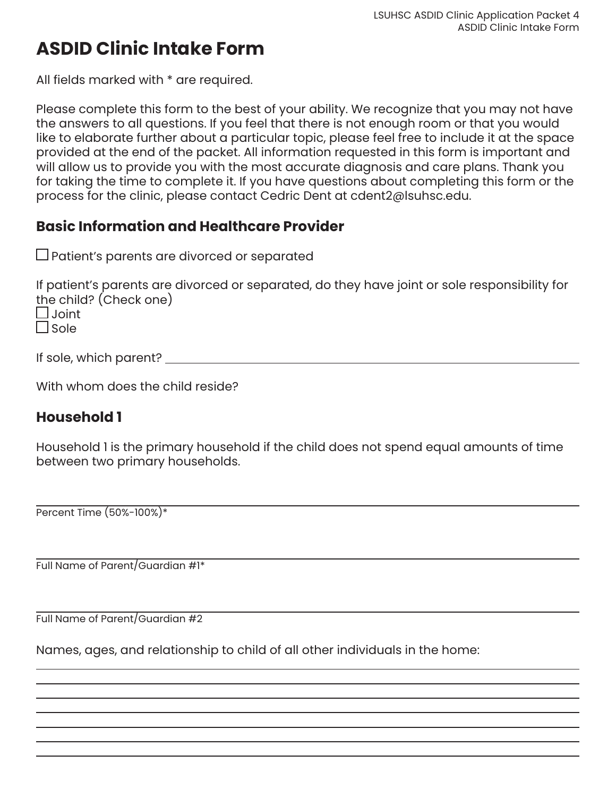## **ASDID Clinic Intake Form**

All fields marked with \* are required.

Please complete this form to the best of your ability. We recognize that you may not have the answers to all questions. If you feel that there is not enough room or that you would like to elaborate further about a particular topic, please feel free to include it at the space provided at the end of the packet. All information requested in this form is important and will allow us to provide you with the most accurate diagnosis and care plans. Thank you for taking the time to complete it. If you have questions about completing this form or the process for the clinic, please contact Cedric Dent at cdent2@lsuhsc.edu.

#### **Basic Information and Healthcare Provider**

 $\square$  Patient's parents are divorced or separated

If patient's parents are divorced or separated, do they have joint or sole responsibility for the child? (Check one)  $\Box$  Joint

 $\Box$  Sole

If sole, which parent?

With whom does the child reside?

#### **Household 1**

Household 1 is the primary household if the child does not spend equal amounts of time between two primary households.

Percent Time (50%-100%)\*

Full Name of Parent/Guardian #1\*

Full Name of Parent/Guardian #2

Names, ages, and relationship to child of all other individuals in the home: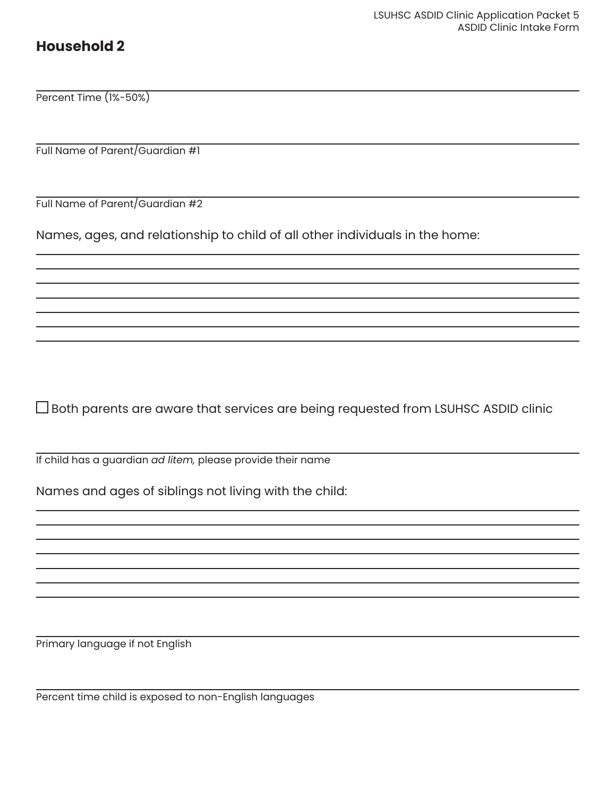#### **Household 2**

Percent Time (1%-50%)

Full Name of Parent/Guardian #1

Full Name of Parent/Guardian #2

Names, ages, and relationship to child of all other individuals in the home:

Both parents are aware that services are being requested from LSUHSC ASDID clinic

If child has a guardian *ad litem,* please provide their name

Names and ages of siblings not living with the child:

Primary language if not English

Percent time child is exposed to non-English languages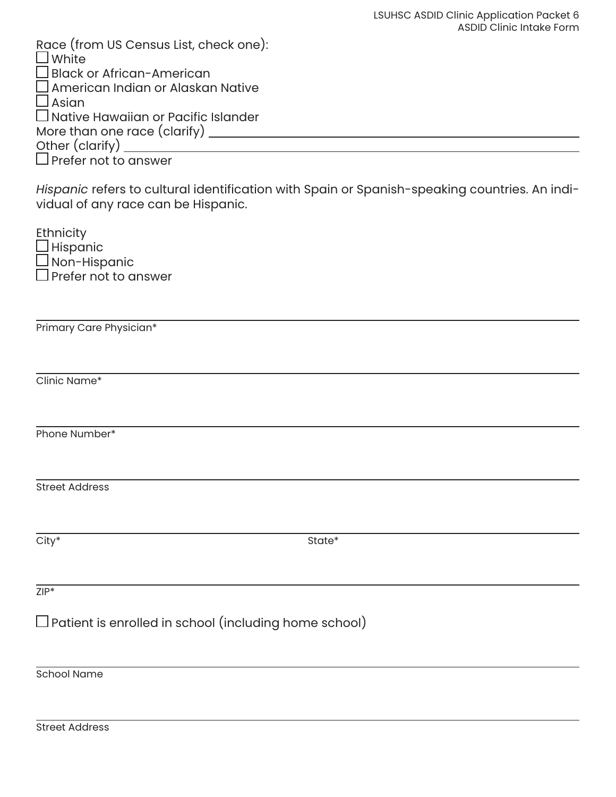| Race (from US Census List, check one):                                                                                               |
|--------------------------------------------------------------------------------------------------------------------------------------|
| $\square$ White<br>$\square$ Black or African-American                                                                               |
| $\square$ American Indian or Alaskan Native                                                                                          |
| $\square$ Asian                                                                                                                      |
| $\Box$ Native Hawaiian or Pacific Islander                                                                                           |
|                                                                                                                                      |
|                                                                                                                                      |
|                                                                                                                                      |
| Hispanic refers to cultural identification with Spain or Spanish-speaking countries. An indi-<br>vidual of any race can be Hispanic. |
| <b>Ethnicity</b>                                                                                                                     |
|                                                                                                                                      |
| —………,<br>□ Hispanic<br>□ Non-Hispanic<br>□ Prefer not to answer                                                                      |
|                                                                                                                                      |
|                                                                                                                                      |
| Primary Care Physician*                                                                                                              |
|                                                                                                                                      |
| Clinic Name*                                                                                                                         |
|                                                                                                                                      |
| Phone Number*                                                                                                                        |
|                                                                                                                                      |
| <b>Street Address</b>                                                                                                                |
|                                                                                                                                      |
| City*<br>State*                                                                                                                      |
|                                                                                                                                      |
| $ZIP^*$                                                                                                                              |
|                                                                                                                                      |
| $\square$ Patient is enrolled in school (including home school)                                                                      |
|                                                                                                                                      |
| <b>School Name</b>                                                                                                                   |
|                                                                                                                                      |
|                                                                                                                                      |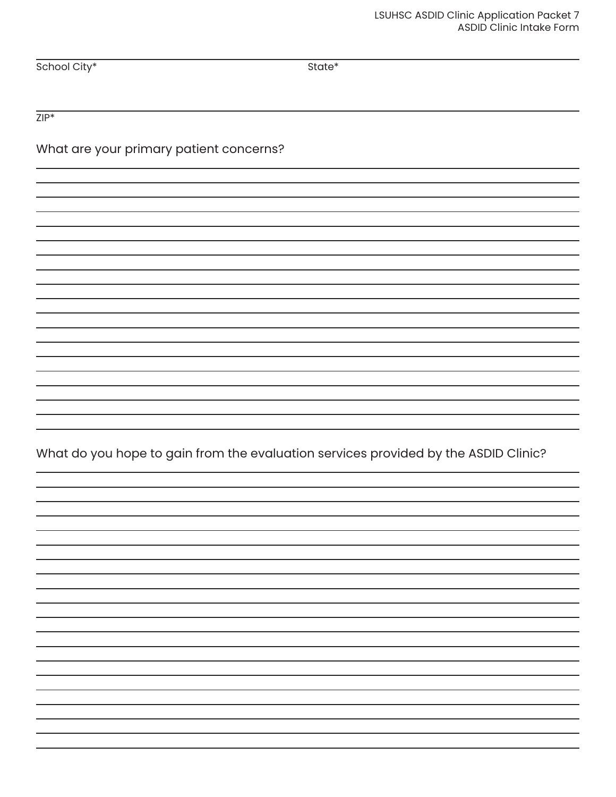School City\* State\* State\* State\* State\* State\* State\* State State State State State State State State State State State State State State State State State State State State State State State State State State State State

 $ZIP^*$ 

#### What are your primary patient concerns?

What do you hope to gain from the evaluation services provided by the ASDID Clinic?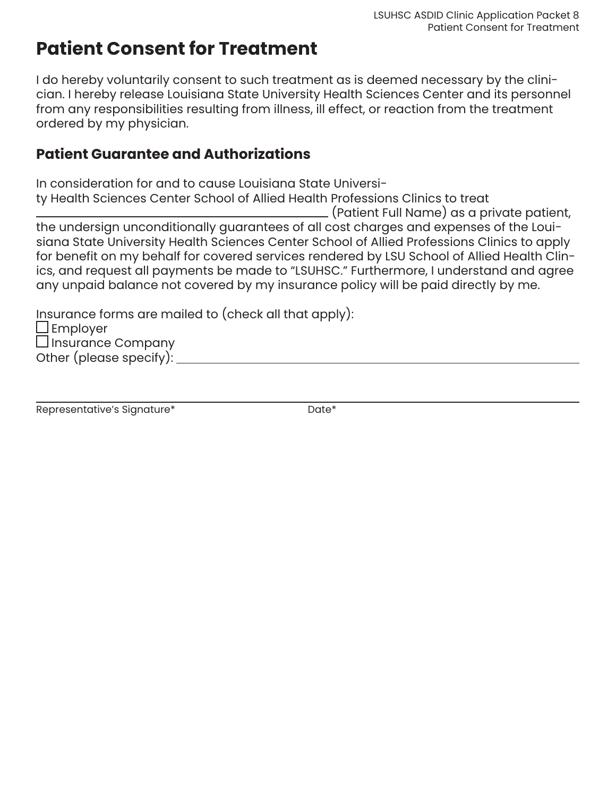## **Patient Consent for Treatment**

I do hereby voluntarily consent to such treatment as is deemed necessary by the clinician. I hereby release Louisiana State University Health Sciences Center and its personnel from any responsibilities resulting from illness, ill effect, or reaction from the treatment ordered by my physician.

#### **Patient Guarantee and Authorizations**

In consideration for and to cause Louisiana State Universi-

ty Health Sciences Center School of Allied Health Professions Clinics to treat

 (Patient Full Name) as a private patient, the undersign unconditionally guarantees of all cost charges and expenses of the Louisiana State University Health Sciences Center School of Allied Professions Clinics to apply for benefit on my behalf for covered services rendered by LSU School of Allied Health Clinics, and request all payments be made to "LSUHSC." Furthermore, I understand and agree any unpaid balance not covered by my insurance policy will be paid directly by me.

Insurance forms are mailed to (check all that apply):

 $\Box$  Employer  $\square$  Insurance Company Other (please specify):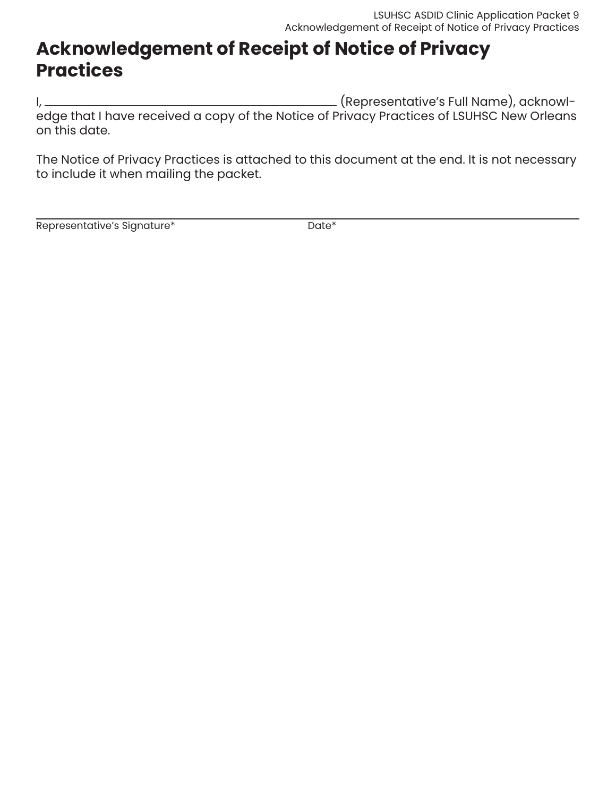## **Acknowledgement of Receipt of Notice of Privacy Practices**

I, (Representative's Full Name), acknowledge that I have received a copy of the Notice of Privacy Practices of LSUHSC New Orleans on this date.

The Notice of Privacy Practices is attached to this document at the end. It is not necessary to include it when mailing the packet.

Representative's Signature\* The Contemporal Date\*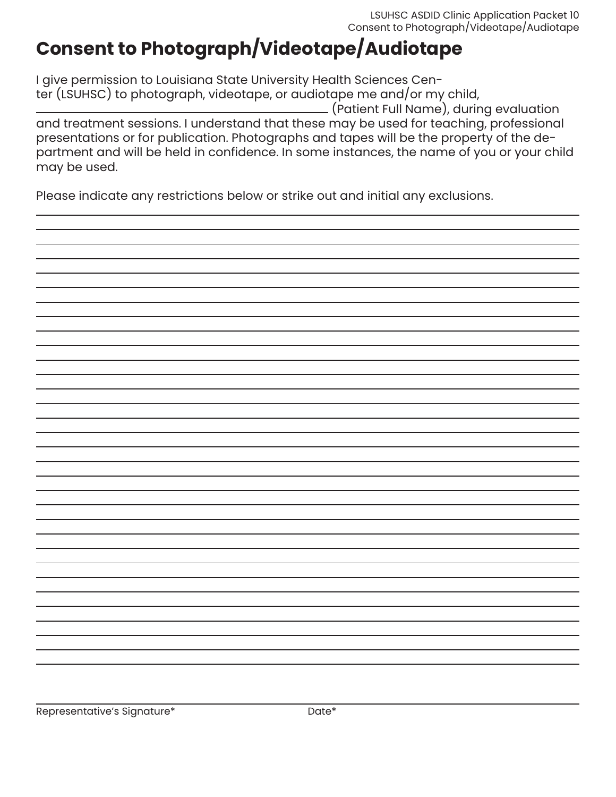## **Consent to Photograph/Videotape/Audiotape**

I give permission to Louisiana State University Health Sciences Center (LSUHSC) to photograph, videotape, or audiotape me and/or my child, (Patient Full Name), during evaluation and treatment sessions. I understand that these may be used for teaching, professional presentations or for publication. Photographs and tapes will be the property of the department and will be held in confidence. In some instances, the name of you or your child may be used.

Please indicate any restrictions below or strike out and initial any exclusions.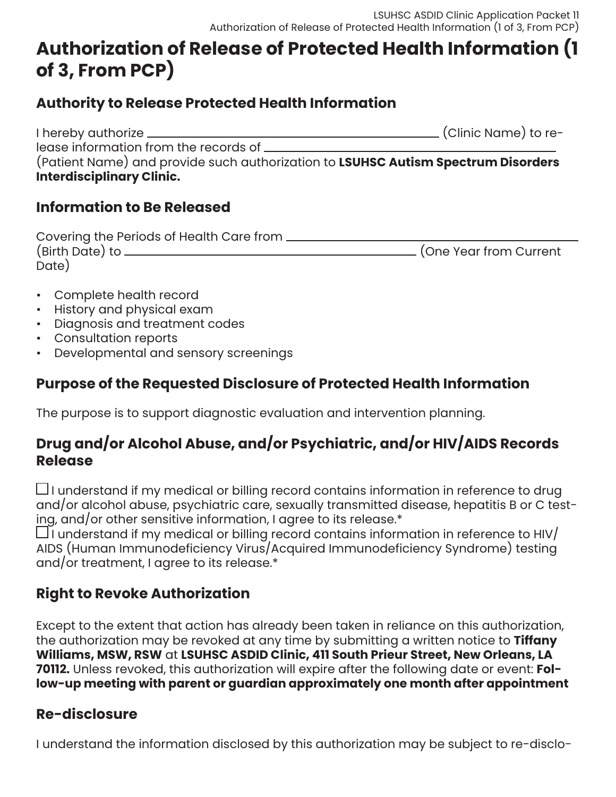## **Authorization of Release of Protected Health Information (1 of 3, From PCP)**

#### **Authority to Release Protected Health Information**

I hereby authorize (Clinic Name) to release information from the records of \_\_\_\_\_\_\_\_\_ (Patient Name) and provide such authorization to **LSUHSC Autism Spectrum Disorders Interdisciplinary Clinic.**

#### **Information to Be Released**

| Covering the Periods of Health Care from _ |                          |
|--------------------------------------------|--------------------------|
| (Birth Date) to.                           | . (One Year from Current |
| Date)                                      |                          |

- Complete health record
- History and physical exam
- Diagnosis and treatment codes
- Consultation reports
- Developmental and sensory screenings

### **Purpose of the Requested Disclosure of Protected Health Information**

The purpose is to support diagnostic evaluation and intervention planning.

### **Drug and/or Alcohol Abuse, and/or Psychiatric, and/or HIV/AIDS Records Release**

 $\Box$ I understand if my medical or billing record contains information in reference to drug and/or alcohol abuse, psychiatric care, sexually transmitted disease, hepatitis B or C testing, and/or other sensitive information, I agree to its release.\*

 $\Box$  i understand if my medical or billing record contains information in reference to HIV/ AIDS (Human Immunodeficiency Virus/Acquired Immunodeficiency Syndrome) testing and/or treatment, I agree to its release.\*

## **Right to Revoke Authorization**

Except to the extent that action has already been taken in reliance on this authorization, the authorization may be revoked at any time by submitting a written notice to **Tiffany Williams, MSW, RSW** at **LSUHSC ASDID Clinic, 411 South Prieur Street, New Orleans, LA 70112.** Unless revoked, this authorization will expire after the following date or event: **Follow-up meeting with parent or guardian approximately one month after appointment**

## **Re-disclosure**

I understand the information disclosed by this authorization may be subject to re-disclo-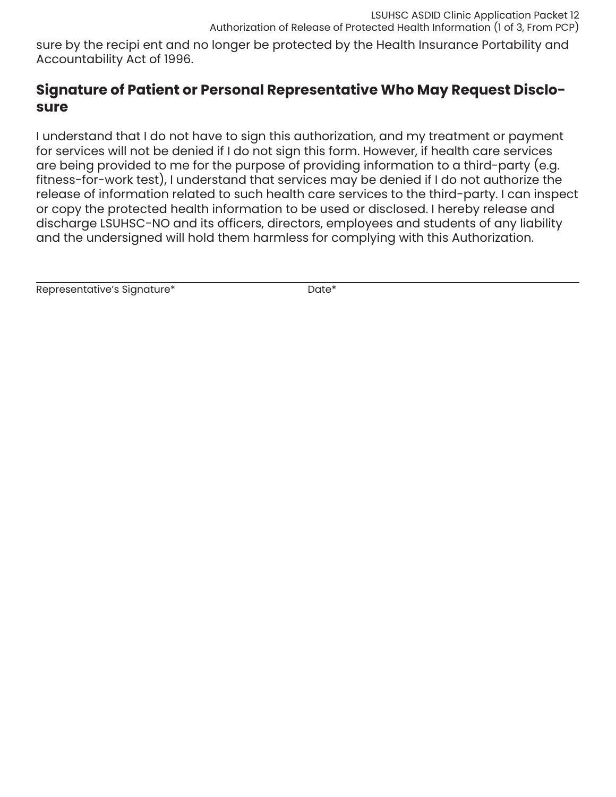sure by the recipi ent and no longer be protected by the Health Insurance Portability and Accountability Act of 1996.

#### **Signature of Patient or Personal Representative Who May Request Disclosure**

I understand that I do not have to sign this authorization, and my treatment or payment for services will not be denied if I do not sign this form. However, if health care services are being provided to me for the purpose of providing information to a third-party (e.g. fitness-for-work test), I understand that services may be denied if I do not authorize the release of information related to such health care services to the third-party. I can inspect or copy the protected health information to be used or disclosed. I hereby release and discharge LSUHSC-NO and its officers, directors, employees and students of any liability and the undersigned will hold them harmless for complying with this Authorization.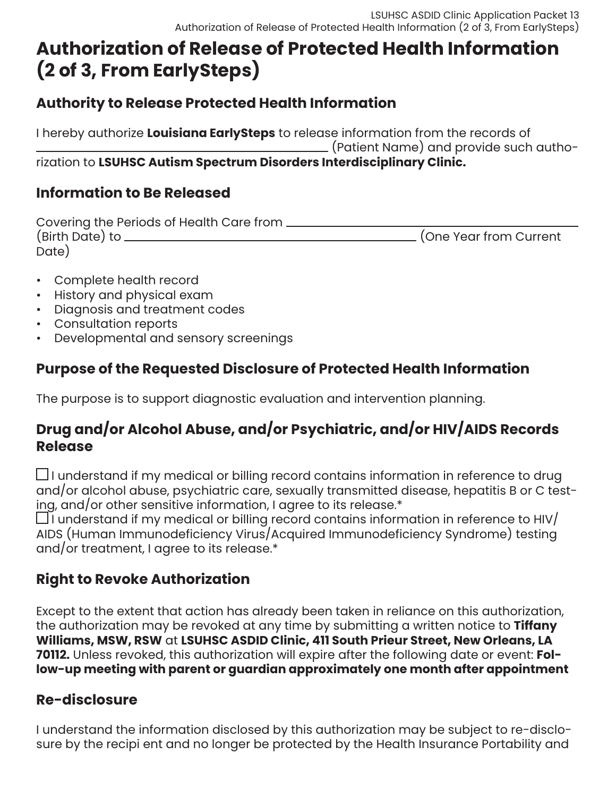## **Authorization of Release of Protected Health Information (2 of 3, From EarlySteps)**

### **Authority to Release Protected Health Information**

I hereby authorize **Louisiana EarlySteps** to release information from the records of (Patient Name) and provide such authorization to **LSUHSC Autism Spectrum Disorders Interdisciplinary Clinic.**

### **Information to Be Released**

| Covering the Periods of Health Care from. |                        |
|-------------------------------------------|------------------------|
| (Birth Date) to                           | (One Year from Current |
| Date)                                     |                        |

- Complete health record
- History and physical exam
- Diagnosis and treatment codes
- Consultation reports
- Developmental and sensory screenings

## **Purpose of the Requested Disclosure of Protected Health Information**

The purpose is to support diagnostic evaluation and intervention planning.

#### **Drug and/or Alcohol Abuse, and/or Psychiatric, and/or HIV/AIDS Records Release**

 $\Box$ I understand if my medical or billing record contains information in reference to drug and/or alcohol abuse, psychiatric care, sexually transmitted disease, hepatitis B or C testing, and/or other sensitive information, I agree to its release.\*

 $\Box$ I understand if my medical or billing record contains information in reference to HIV/ AIDS (Human Immunodeficiency Virus/Acquired Immunodeficiency Syndrome) testing and/or treatment, I agree to its release.\*

## **Right to Revoke Authorization**

Except to the extent that action has already been taken in reliance on this authorization, the authorization may be revoked at any time by submitting a written notice to **Tiffany Williams, MSW, RSW** at **LSUHSC ASDID Clinic, 411 South Prieur Street, New Orleans, LA 70112.** Unless revoked, this authorization will expire after the following date or event: **Follow-up meeting with parent or guardian approximately one month after appointment**

### **Re-disclosure**

I understand the information disclosed by this authorization may be subject to re-disclosure by the recipi ent and no longer be protected by the Health Insurance Portability and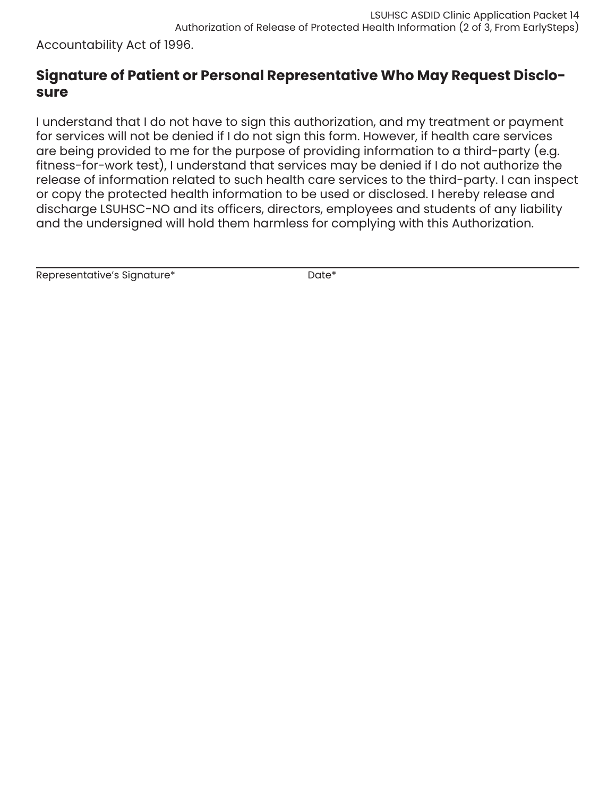Accountability Act of 1996.

#### **Signature of Patient or Personal Representative Who May Request Disclosure**

I understand that I do not have to sign this authorization, and my treatment or payment for services will not be denied if I do not sign this form. However, if health care services are being provided to me for the purpose of providing information to a third-party (e.g. fitness-for-work test), I understand that services may be denied if I do not authorize the release of information related to such health care services to the third-party. I can inspect or copy the protected health information to be used or disclosed. I hereby release and discharge LSUHSC-NO and its officers, directors, employees and students of any liability and the undersigned will hold them harmless for complying with this Authorization.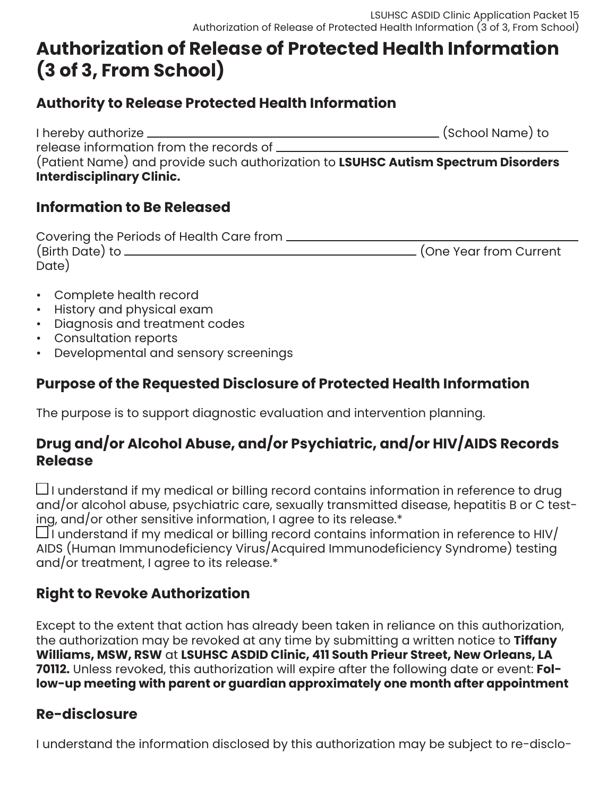## **Authorization of Release of Protected Health Information (3 of 3, From School)**

#### **Authority to Release Protected Health Information**

I hereby authorize (School Name) to release information from the records of (Patient Name) and provide such authorization to **LSUHSC Autism Spectrum Disorders Interdisciplinary Clinic.**

#### **Information to Be Released**

| Covering the Periods of Health Care from. |                          |
|-------------------------------------------|--------------------------|
| (Birth Date) to .                         | . (One Year from Current |
| Date)                                     |                          |

- Complete health record
- History and physical exam
- Diagnosis and treatment codes
- Consultation reports
- Developmental and sensory screenings

### **Purpose of the Requested Disclosure of Protected Health Information**

The purpose is to support diagnostic evaluation and intervention planning.

### **Drug and/or Alcohol Abuse, and/or Psychiatric, and/or HIV/AIDS Records Release**

 $\Box$ I understand if my medical or billing record contains information in reference to drug and/or alcohol abuse, psychiatric care, sexually transmitted disease, hepatitis B or C testing, and/or other sensitive information, I agree to its release.\*

 $\Box$  i understand if my medical or billing record contains information in reference to HIV/ AIDS (Human Immunodeficiency Virus/Acquired Immunodeficiency Syndrome) testing and/or treatment, I agree to its release.\*

## **Right to Revoke Authorization**

Except to the extent that action has already been taken in reliance on this authorization, the authorization may be revoked at any time by submitting a written notice to **Tiffany Williams, MSW, RSW** at **LSUHSC ASDID Clinic, 411 South Prieur Street, New Orleans, LA 70112.** Unless revoked, this authorization will expire after the following date or event: **Follow-up meeting with parent or guardian approximately one month after appointment**

## **Re-disclosure**

I understand the information disclosed by this authorization may be subject to re-disclo-